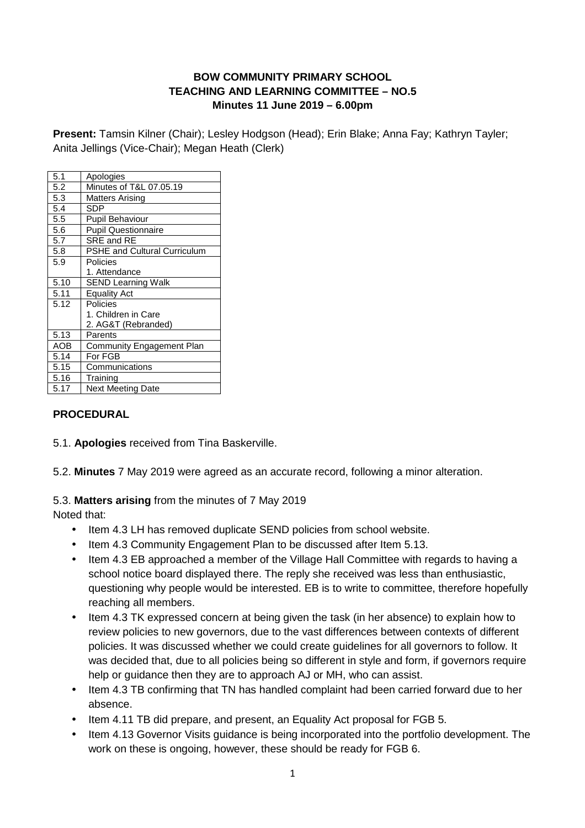### **BOW COMMUNITY PRIMARY SCHOOL TEACHING AND LEARNING COMMITTEE – NO.5 Minutes 11 June 2019 – 6.00pm**

**Present:** Tamsin Kilner (Chair); Lesley Hodgson (Head); Erin Blake; Anna Fay; Kathryn Tayler; Anita Jellings (Vice-Chair); Megan Heath (Clerk)

| 5.1  | Apologies                           |
|------|-------------------------------------|
| 5.2  | Minutes of T&L 07.05.19             |
| 5.3  | Matters Arising                     |
| 5.4  | SDP                                 |
| 5.5  | Pupil Behaviour                     |
| 5.6  | <b>Pupil Questionnaire</b>          |
| 5.7  | SRE and RE                          |
| 5.8  | <b>PSHE and Cultural Curriculum</b> |
| 5.9  | Policies                            |
|      | 1. Attendance                       |
| 5.10 | <b>SEND Learning Walk</b>           |
| 5.11 | <b>Equality Act</b>                 |
| 5.12 | Policies                            |
|      | 1. Children in Care                 |
|      | 2. AG&T (Rebranded)                 |
| 5.13 | Parents                             |
| AOB  | Community Engagement Plan           |
| 5.14 | For FGB                             |
| 5.15 | Communications                      |
| 5.16 | Training                            |
| 5.17 | <b>Next Meeting Date</b>            |
|      |                                     |

### **PROCEDURAL**

- 5.1. **Apologies** received from Tina Baskerville.
- 5.2. **Minutes** 7 May 2019 were agreed as an accurate record, following a minor alteration.

### 5.3. **Matters arising** from the minutes of 7 May 2019

- Item 4.3 LH has removed duplicate SEND policies from school website.
- Item 4.3 Community Engagement Plan to be discussed after Item 5.13.
- Item 4.3 EB approached a member of the Village Hall Committee with regards to having a school notice board displayed there. The reply she received was less than enthusiastic, questioning why people would be interested. EB is to write to committee, therefore hopefully reaching all members.
- Item 4.3 TK expressed concern at being given the task (in her absence) to explain how to review policies to new governors, due to the vast differences between contexts of different policies. It was discussed whether we could create guidelines for all governors to follow. It was decided that, due to all policies being so different in style and form, if governors require help or guidance then they are to approach AJ or MH, who can assist.
- Item 4.3 TB confirming that TN has handled complaint had been carried forward due to her absence.
- Item 4.11 TB did prepare, and present, an Equality Act proposal for FGB 5.
- Item 4.13 Governor Visits guidance is being incorporated into the portfolio development. The work on these is ongoing, however, these should be ready for FGB 6.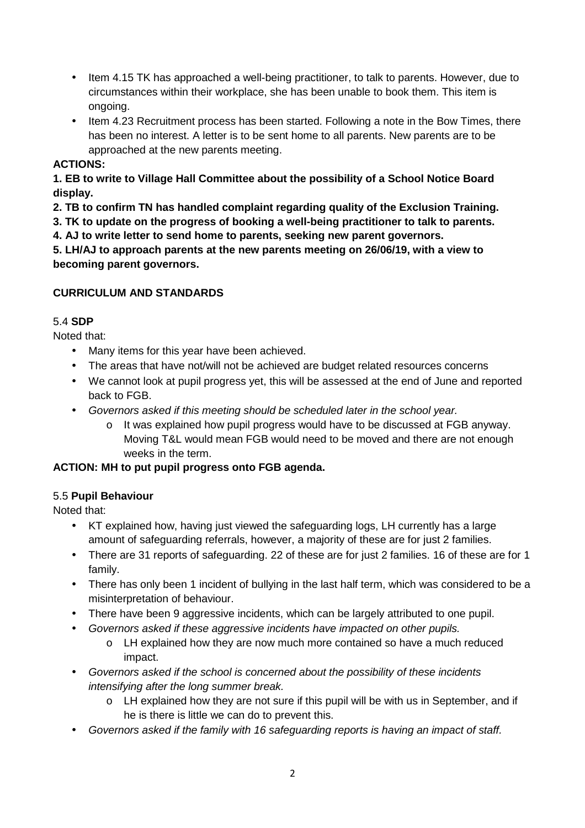- Item 4.15 TK has approached a well-being practitioner, to talk to parents. However, due to circumstances within their workplace, she has been unable to book them. This item is ongoing.
- Item 4.23 Recruitment process has been started. Following a note in the Bow Times, there has been no interest. A letter is to be sent home to all parents. New parents are to be approached at the new parents meeting.

### **ACTIONS:**

**1. EB to write to Village Hall Committee about the possibility of a School Notice Board display.** 

**2. TB to confirm TN has handled complaint regarding quality of the Exclusion Training.** 

**3. TK to update on the progress of booking a well-being practitioner to talk to parents.** 

**4. AJ to write letter to send home to parents, seeking new parent governors.** 

**5. LH/AJ to approach parents at the new parents meeting on 26/06/19, with a view to becoming parent governors.** 

### **CURRICULUM AND STANDARDS**

### 5.4 **SDP**

Noted that:

- Many items for this year have been achieved.
- The areas that have not/will not be achieved are budget related resources concerns
- We cannot look at pupil progress yet, this will be assessed at the end of June and reported back to FGB.
- Governors asked if this meeting should be scheduled later in the school year.
	- o It was explained how pupil progress would have to be discussed at FGB anyway. Moving T&L would mean FGB would need to be moved and there are not enough weeks in the term.

# **ACTION: MH to put pupil progress onto FGB agenda.**

### 5.5 **Pupil Behaviour**

- KT explained how, having just viewed the safeguarding logs, LH currently has a large amount of safeguarding referrals, however, a majority of these are for just 2 families.
- There are 31 reports of safeguarding. 22 of these are for just 2 families. 16 of these are for 1 family.
- There has only been 1 incident of bullying in the last half term, which was considered to be a misinterpretation of behaviour.
- There have been 9 aggressive incidents, which can be largely attributed to one pupil.
- Governors asked if these aggressive incidents have impacted on other pupils.
	- o LH explained how they are now much more contained so have a much reduced impact.
- Governors asked if the school is concerned about the possibility of these incidents intensifying after the long summer break.
	- o LH explained how they are not sure if this pupil will be with us in September, and if he is there is little we can do to prevent this.
- Governors asked if the family with 16 safeguarding reports is having an impact of staff.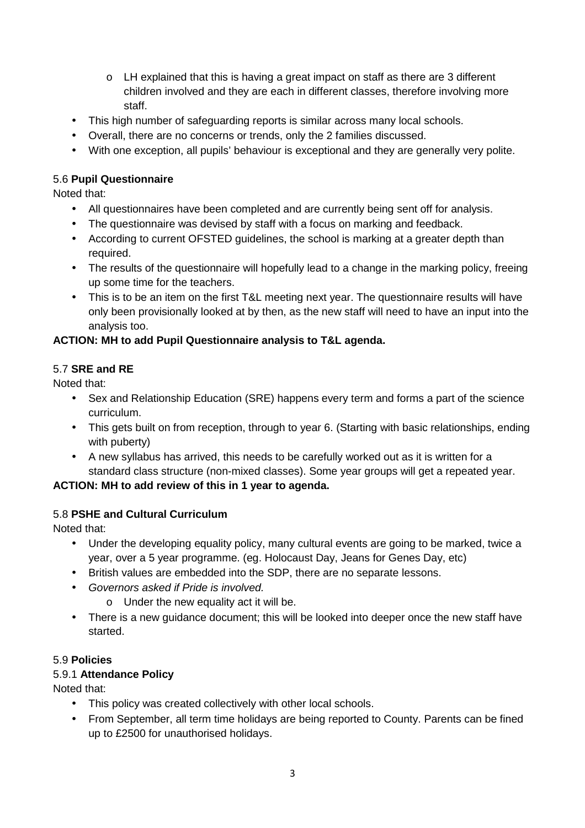- $\circ$  LH explained that this is having a great impact on staff as there are 3 different children involved and they are each in different classes, therefore involving more staff.
- This high number of safeguarding reports is similar across many local schools.
- Overall, there are no concerns or trends, only the 2 families discussed.
- With one exception, all pupils' behaviour is exceptional and they are generally very polite.

### 5.6 **Pupil Questionnaire**

Noted that:

- All questionnaires have been completed and are currently being sent off for analysis.
- The questionnaire was devised by staff with a focus on marking and feedback.
- According to current OFSTED guidelines, the school is marking at a greater depth than required.
- The results of the questionnaire will hopefully lead to a change in the marking policy, freeing up some time for the teachers.
- This is to be an item on the first T&L meeting next year. The questionnaire results will have only been provisionally looked at by then, as the new staff will need to have an input into the analysis too.

#### **ACTION: MH to add Pupil Questionnaire analysis to T&L agenda.**

#### 5.7 **SRE and RE**

Noted that:

- Sex and Relationship Education (SRE) happens every term and forms a part of the science curriculum.
- This gets built on from reception, through to year 6. (Starting with basic relationships, ending with puberty)
- A new syllabus has arrived, this needs to be carefully worked out as it is written for a standard class structure (non-mixed classes). Some year groups will get a repeated year.

### **ACTION: MH to add review of this in 1 year to agenda.**

### 5.8 **PSHE and Cultural Curriculum**

Noted that:

- Under the developing equality policy, many cultural events are going to be marked, twice a year, over a 5 year programme. (eg. Holocaust Day, Jeans for Genes Day, etc)
- British values are embedded into the SDP, there are no separate lessons.
- Governors asked if Pride is involved.
	- o Under the new equality act it will be.
- There is a new guidance document; this will be looked into deeper once the new staff have started.

#### 5.9 **Policies**

### 5.9.1 **Attendance Policy**

- This policy was created collectively with other local schools.
- From September, all term time holidays are being reported to County. Parents can be fined up to £2500 for unauthorised holidays.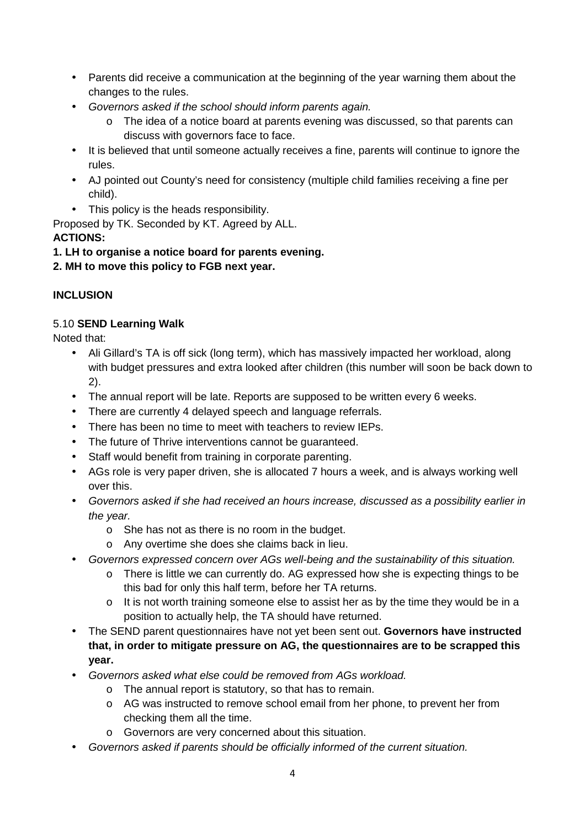- Parents did receive a communication at the beginning of the year warning them about the changes to the rules.
- Governors asked if the school should inform parents again.
	- o The idea of a notice board at parents evening was discussed, so that parents can discuss with governors face to face.
- It is believed that until someone actually receives a fine, parents will continue to ignore the rules.
- AJ pointed out County's need for consistency (multiple child families receiving a fine per child).
- This policy is the heads responsibility.

Proposed by TK. Seconded by KT. Agreed by ALL.

### **ACTIONS:**

# **1. LH to organise a notice board for parents evening.**

# **2. MH to move this policy to FGB next year.**

# **INCLUSION**

### 5.10 **SEND Learning Walk**

- Ali Gillard's TA is off sick (long term), which has massively impacted her workload, along with budget pressures and extra looked after children (this number will soon be back down to 2).
- The annual report will be late. Reports are supposed to be written every 6 weeks.
- There are currently 4 delayed speech and language referrals.
- There has been no time to meet with teachers to review IEPs.
- The future of Thrive interventions cannot be guaranteed.
- Staff would benefit from training in corporate parenting.
- AGs role is very paper driven, she is allocated 7 hours a week, and is always working well over this.
- Governors asked if she had received an hours increase, discussed as a possibility earlier in the year.
	- o She has not as there is no room in the budget.
	- o Any overtime she does she claims back in lieu.
- Governors expressed concern over AGs well-being and the sustainability of this situation.
	- o There is little we can currently do. AG expressed how she is expecting things to be this bad for only this half term, before her TA returns.
	- $\circ$  It is not worth training someone else to assist her as by the time they would be in a position to actually help, the TA should have returned.
- The SEND parent questionnaires have not yet been sent out. **Governors have instructed that, in order to mitigate pressure on AG, the questionnaires are to be scrapped this year.**
- Governors asked what else could be removed from AGs workload.
	- o The annual report is statutory, so that has to remain.
	- o AG was instructed to remove school email from her phone, to prevent her from checking them all the time.
	- o Governors are very concerned about this situation.
- Governors asked if parents should be officially informed of the current situation.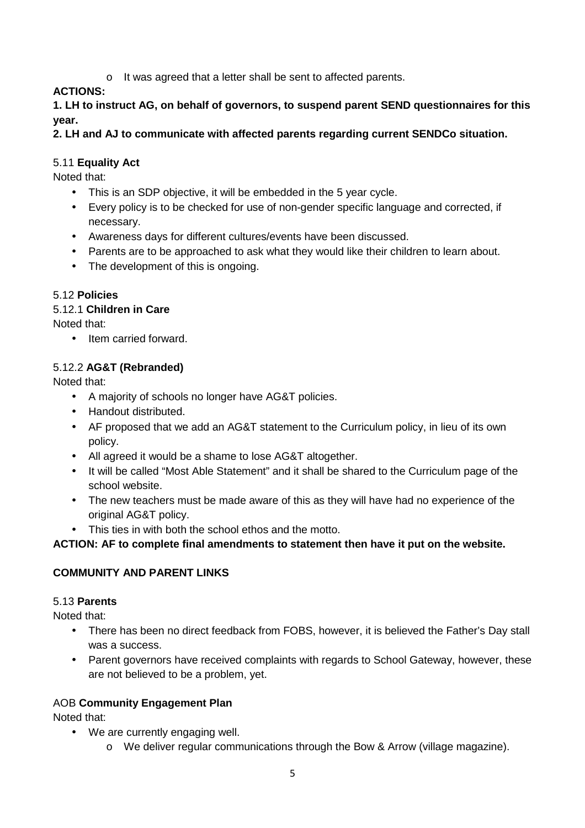o It was agreed that a letter shall be sent to affected parents.

# **ACTIONS:**

**1. LH to instruct AG, on behalf of governors, to suspend parent SEND questionnaires for this year.** 

# **2. LH and AJ to communicate with affected parents regarding current SENDCo situation.**

### 5.11 **Equality Act**

Noted that:

- This is an SDP objective, it will be embedded in the 5 year cycle.
- Every policy is to be checked for use of non-gender specific language and corrected, if necessary.
- Awareness days for different cultures/events have been discussed.
- Parents are to be approached to ask what they would like their children to learn about.
- The development of this is ongoing.

### 5.12 **Policies**

### 5.12.1 **Children in Care**

Noted that:

• Item carried forward.

# 5.12.2 **AG&T (Rebranded)**

Noted that:

- A majority of schools no longer have AG&T policies.
- Handout distributed.
- AF proposed that we add an AG&T statement to the Curriculum policy, in lieu of its own policy.
- All agreed it would be a shame to lose AG&T altogether.
- It will be called "Most Able Statement" and it shall be shared to the Curriculum page of the school website.
- The new teachers must be made aware of this as they will have had no experience of the original AG&T policy.
- This ties in with both the school ethos and the motto.

# **ACTION: AF to complete final amendments to statement then have it put on the website.**

# **COMMUNITY AND PARENT LINKS**

### 5.13 **Parents**

Noted that:

- There has been no direct feedback from FOBS, however, it is believed the Father's Day stall was a success.
- Parent governors have received complaints with regards to School Gateway, however, these are not believed to be a problem, yet.

# AOB **Community Engagement Plan**

- We are currently engaging well.
	- o We deliver regular communications through the Bow & Arrow (village magazine).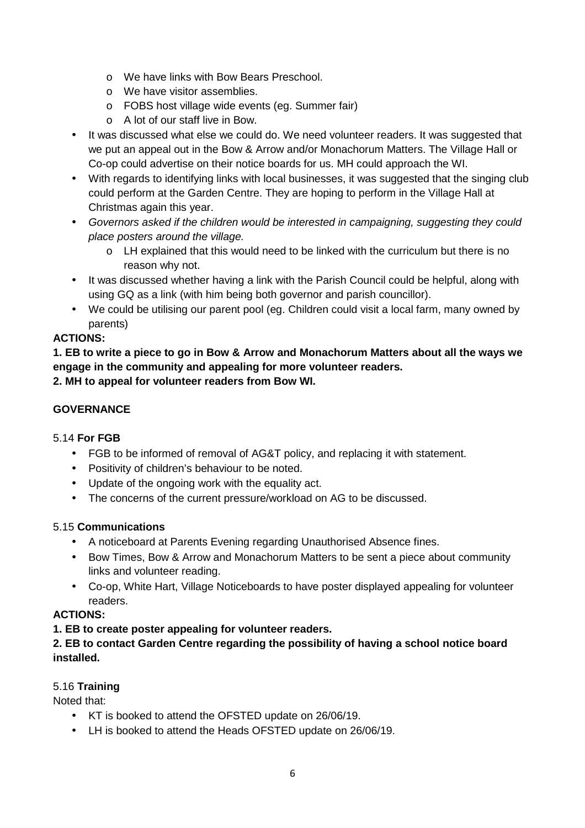- o We have links with Bow Bears Preschool.
- o We have visitor assemblies.
- o FOBS host village wide events (eg. Summer fair)
- o A lot of our staff live in Bow.
- It was discussed what else we could do. We need volunteer readers. It was suggested that we put an appeal out in the Bow & Arrow and/or Monachorum Matters. The Village Hall or Co-op could advertise on their notice boards for us. MH could approach the WI.
- With regards to identifying links with local businesses, it was suggested that the singing club could perform at the Garden Centre. They are hoping to perform in the Village Hall at Christmas again this year.
- Governors asked if the children would be interested in campaigning, suggesting they could place posters around the village.
	- o LH explained that this would need to be linked with the curriculum but there is no reason why not.
- It was discussed whether having a link with the Parish Council could be helpful, along with using GQ as a link (with him being both governor and parish councillor).
- We could be utilising our parent pool (eg. Children could visit a local farm, many owned by parents)

# **ACTIONS:**

**1. EB to write a piece to go in Bow & Arrow and Monachorum Matters about all the ways we engage in the community and appealing for more volunteer readers.** 

**2. MH to appeal for volunteer readers from Bow WI.** 

### **GOVERNANCE**

### 5.14 **For FGB**

- FGB to be informed of removal of AG&T policy, and replacing it with statement.
- Positivity of children's behaviour to be noted.
- Update of the ongoing work with the equality act.
- The concerns of the current pressure/workload on AG to be discussed.

### 5.15 **Communications**

- A noticeboard at Parents Evening regarding Unauthorised Absence fines.
- Bow Times, Bow & Arrow and Monachorum Matters to be sent a piece about community links and volunteer reading.
- Co-op, White Hart, Village Noticeboards to have poster displayed appealing for volunteer readers.

### **ACTIONS:**

### **1. EB to create poster appealing for volunteer readers.**

### **2. EB to contact Garden Centre regarding the possibility of having a school notice board installed.**

### 5.16 **Training**

- KT is booked to attend the OFSTED update on 26/06/19.
- LH is booked to attend the Heads OFSTED update on 26/06/19.